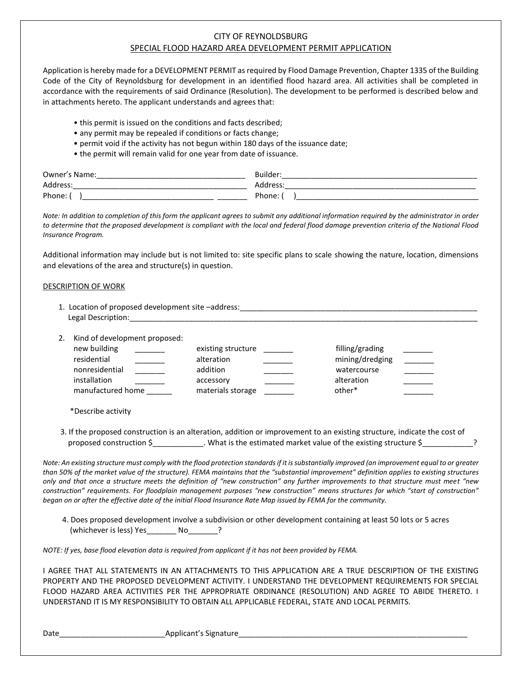## CITY OF REYNOLDSBURG SPECIAL FLOOD HAZARD AREA DEVELOPMENT PERMIT APPLICATION

Application is hereby made for a DEVELOPMENT PERMIT as required by Flood Damage Prevention, Chapter 1335 of the Building Code of the City of Reynoldsburg for development in an identified flood hazard area. All activities shall be completed in accordance with the requirements of said Ordinance (Resolution). The development to be performed is described below and in attachments hereto. The applicant understands and agrees that:

- this permit is issued on the conditions and facts described;
- any permit may be repealed if conditions or facts change;
- permit void if the activity has not begun within 180 days of the issuance date;
- the permit will remain valid for one year from date of issuance.

| Owner<br>Name.<br>_________ | Builde                       |
|-----------------------------|------------------------------|
| Address<br>_____            | Address<br>______________    |
| Phone.<br>______            | Phone.<br>______<br>________ |

*Note: In addition to completion of this form the applicant agrees to submit any additional information required by the administrator in order to determine that the proposed development is compliant with the local and federal flood damage prevention criteria of the National Flood Insurance Program.*

Additional information may include but is not limited to: site specific plans to scale showing the nature, location, dimensions and elevations of the area and structure(s) in question.

## DESCRIPTION OF WORK

| 1. Location of proposed development site -address: |  |
|----------------------------------------------------|--|
| Legal Descri                                       |  |
|                                                    |  |

2. Kind of development proposed:

| new building      | existing structure | filling/grading |  |
|-------------------|--------------------|-----------------|--|
| residential       | alteration         | mining/dredging |  |
| nonresidential    | addition           | watercourse     |  |
| installation      | accessory          | alteration      |  |
| manufactured home | materials storage  | other*          |  |

\*Describe activity

 3. If the proposed construction is an alteration, addition or improvement to an existing structure, indicate the cost of proposed construction \$\_\_\_\_\_\_\_\_\_\_\_\_. What is the estimated market value of the existing structure \$\_\_\_\_\_\_\_\_\_\_\_\_?

*Note: An existing structure must comply with the flood protection standards if it is substantially improved (an improvement equal to or greater than 50% of the market value of the structure). FEMA maintains that the "substantial improvement" definition applies to existing structures only and that once a structure meets the definition of "new construction" any further improvements to that structure must meet "new construction" requirements. For floodplain management purposes "new construction" means structures for which "start of construction" began on or after the effective date of the initial Flood Insurance Rate Map issued by FEMA for the community.*

 4. Does proposed development involve a subdivision or other development containing at least 50 lots or 5 acres (whichever is less) Yes\_\_\_\_\_\_\_ No\_\_\_\_\_\_\_?

*NOTE: If yes, base flood elevation data is required from applicant if it has not been provided by FEMA.*

I AGREE THAT ALL STATEMENTS IN AN ATTACHMENTS TO THIS APPLICATION ARE A TRUE DESCRIPTION OF THE EXISTING PROPERTY AND THE PROPOSED DEVELOPMENT ACTIVITY. I UNDERSTAND THE DEVELOPMENT REQUIREMENTS FOR SPECIAL FLOOD HAZARD AREA ACTIVITIES PER THE APPROPRIATE ORDINANCE (RESOLUTION) AND AGREE TO ABIDE THERETO. I UNDERSTAND IT IS MY RESPONSIBILITY TO OBTAIN ALL APPLICABLE FEDERAL, STATE AND LOCAL PERMITS.

Date\_\_\_\_\_\_\_\_\_\_\_\_\_\_\_\_\_\_\_\_\_\_\_\_\_Applicant's Signature\_\_\_\_\_\_\_\_\_\_\_\_\_\_\_\_\_\_\_\_\_\_\_\_\_\_\_\_\_\_\_\_\_\_\_\_\_\_\_\_\_\_\_\_\_\_\_\_\_\_\_\_\_\_